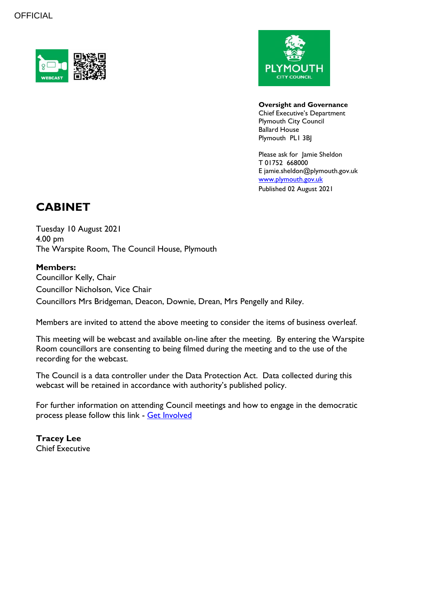



**Oversight and Governance** Chief Executive's Department Plymouth City Council Ballard House Plymouth PL1 3BJ

Please ask for Jamie Sheldon T 01752 668000 E jamie.sheldon@plymouth.gov.uk [www.plymouth.gov.uk](https://www.plymouth.gov.uk/councillorscommitteesandmeetings) Published 02 August 2021

# **CABINET**

Tuesday 10 August 2021 4.00 pm The Warspite Room, The Council House, Plymouth

# **Members:**

Councillor Kelly, Chair Councillor Nicholson, Vice Chair Councillors Mrs Bridgeman, Deacon, Downie, Drean, Mrs Pengelly and Riley.

Members are invited to attend the above meeting to consider the items of business overleaf.

This meeting will be webcast and available on-line after the meeting. By entering the Warspite Room councillors are consenting to being filmed during the meeting and to the use of the recording for the webcast.

The Council is a data controller under the Data Protection Act. Data collected during this webcast will be retained in accordance with authority's published policy.

For further information on attending Council meetings and how to engage in the democratic process please follow this link - [Get Involved](https://www.plymouth.gov.uk/councillorscommitteesandmeetings/getinvolved)

**Tracey Lee** Chief Executive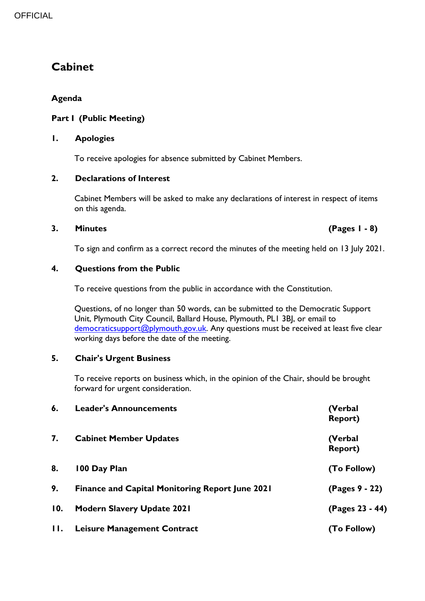# **Cabinet**

# **Agenda**

# **Part I (Public Meeting)**

### **1. Apologies**

To receive apologies for absence submitted by Cabinet Members.

# **2. Declarations of Interest**

Cabinet Members will be asked to make any declarations of interest in respect of items on this agenda.

### **3. Minutes (Pages 1 - 8)**

To sign and confirm as a correct record the minutes of the meeting held on 13 July 2021.

### **4. Questions from the Public**

To receive questions from the public in accordance with the Constitution.

Questions, of no longer than 50 words, can be submitted to the Democratic Support Unit, Plymouth City Council, Ballard House, Plymouth, PL1 3BJ, or email to [democraticsupport@plymouth.gov.uk.](mailto:DEMOCRATICSUPPORT@PLYMOUTH.GOV.UK) Any questions must be received at least five clear working days before the date of the meeting.

# **5. Chair's Urgent Business**

To receive reports on business which, in the opinion of the Chair, should be brought forward for urgent consideration.

| 6.           | <b>Leader's Announcements</b>                          | (Verbal<br><b>Report)</b> |
|--------------|--------------------------------------------------------|---------------------------|
| 7.           | <b>Cabinet Member Updates</b>                          | (Verbal<br><b>Report)</b> |
| 8.           | 100 Day Plan                                           | (To Follow)               |
| 9.           | <b>Finance and Capital Monitoring Report June 2021</b> | (Pages 9 - 22)            |
| 10.          | <b>Modern Slavery Update 2021</b>                      | (Pages 23 - 44)           |
| $\mathbf{H}$ | <b>Leisure Management Contract</b>                     | (To Follow)               |